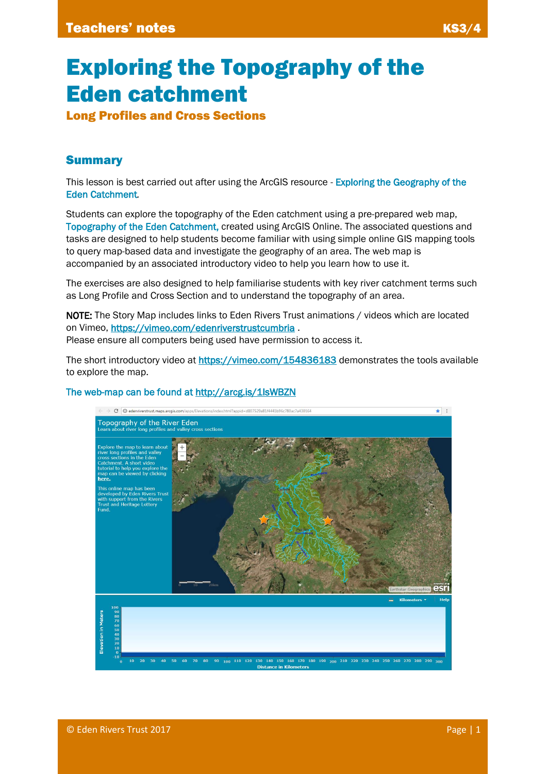# Exploring the Topography of the Eden catchment

Long Profiles and Cross Sections

## **Summary**

This lesson is best carried out after using the ArcGIS resource - Exploring the Geography of the Eden Catchment*.*

Students can explore the topography of the Eden catchment using a pre-prepared web map, Topography of the Eden Catchment, created using ArcGIS Online. The associated questions and tasks are designed to help students become familiar with using simple online GIS mapping tools to query map-based data and investigate the geography of an area. The web map is accompanied by an associated introductory video to help you learn how to use it.

The exercises are also designed to help familiarise students with key river catchment terms such as Long Profile and Cross Section and to understand the topography of an area.

NOTE: The Story Map includes links to Eden Rivers Trust animations / videos which are located on Vimeo[, https://vimeo.com/edenriverstrustcumbria](https://vimeo.com/edenriverstrustcumbria) . Please ensure all computers being used have permission to access it.

The short introductory video at<https://vimeo.com/154836183> demonstrates the tools available to explore the map.

#### The web-map can be found at<http://arcg.is/1lsWBZN>

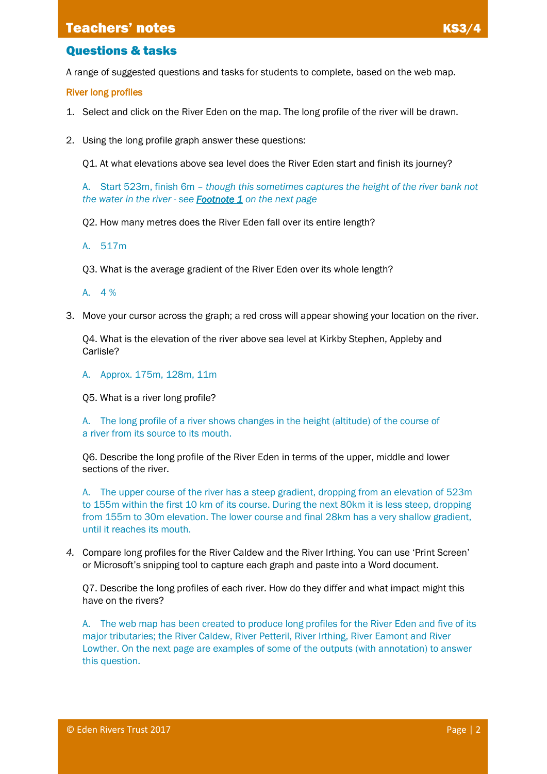# **Teachers' notes**

## Questions & tasks

A range of suggested questions and tasks for students to complete, based on the web map.

River long profiles

- 1. Select and click on the River Eden on the map. The long profile of the river will be drawn.
- 2. Using the long profile graph answer these questions:

Q1. At what elevations above sea level does the River Eden start and finish its journey?

A. Start 523m, finish 6m – *though this sometimes captures the height of the river bank not the water in the river - see [Footnote 1](#page-2-0) on the next page* 

Q2. How many metres does the River Eden fall over its entire length?

A. 517m

Q3. What is the average gradient of the River Eden over its whole length?

 $A \, 4\%$ 

3. Move your cursor across the graph; a red cross will appear showing your location on the river.

Q4. What is the elevation of the river above sea level at Kirkby Stephen, Appleby and Carlisle?

A. Approx. 175m, 128m, 11m

Q5. What is a river long profile?

A. The long profile of a river shows changes in the height (altitude) of the course of a river from its source to its mouth.

Q6. Describe the long profile of the River Eden in terms of the upper, middle and lower sections of the river.

A. The upper course of the river has a steep gradient, dropping from an elevation of 523m to 155m within the first 10 km of its course. During the next 80km it is less steep, dropping from 155m to 30m elevation. The lower course and final 28km has a very shallow gradient, until it reaches its mouth.

*4.* Compare long profiles for the River Caldew and the River Irthing. You can use 'Print Screen' or Microsoft's snipping tool to capture each graph and paste into a Word document.

Q7. Describe the long profiles of each river. How do they differ and what impact might this have on the rivers?

A. The web map has been created to produce long profiles for the River Eden and five of its major tributaries; the River Caldew, River Petteril, River Irthing, River Eamont and River Lowther. On the next page are examples of some of the outputs (with annotation) to answer this question.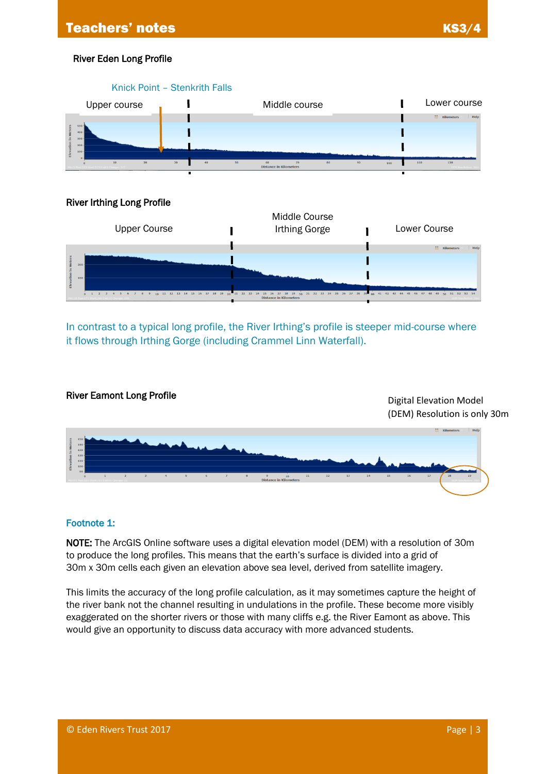## River Eden Long Profile



#### River Irthing Long Profile



In contrast to a typical long profile, the River Irthing's profile is steeper mid-course where it flows through Irthing Gorge (including Crammel Linn Waterfall).



## <span id="page-2-0"></span>Footnote 1:

NOTE: The ArcGIS Online software uses a digital elevation model (DEM) with a resolution of 30m to produce the long profiles. This means that the earth's surface is divided into a grid of 30m x 30m cells each given an elevation above sea level, derived from satellite imagery.

This limits the accuracy of the long profile calculation, as it may sometimes capture the height of the river bank not the channel resulting in undulations in the profile. These become more visibly exaggerated on the shorter rivers or those with many cliffs e.g. the River Eamont as above. This would give an opportunity to discuss data accuracy with more advanced students.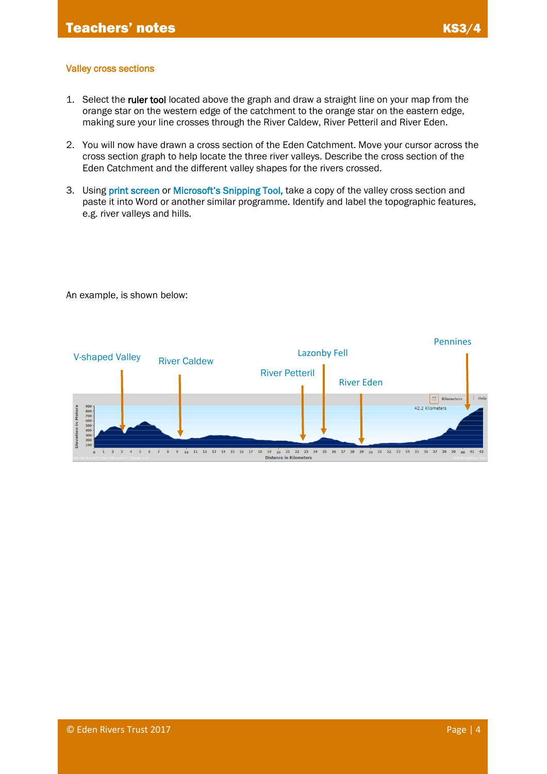#### Valley cross sections

- 1. Select the ruler tool located above the graph and draw a straight line on your map from the orange star on the western edge of the catchment to the orange star on the eastern edge, making sure your line crosses through the River Caldew, River Petteril and River Eden.
- 2. You will now have drawn a cross section of the Eden Catchment. Move your cursor across the cross section graph to help locate the three river valleys. Describe the cross section of the Eden Catchment and the different valley shapes for the rivers crossed.
- 3. Using print screen or Microsoft's Snipping Tool, take a copy of the valley cross section and paste it into Word or another similar programme. Identify and label the topographic features, e.g. river valleys and hills.



An example, is shown below: